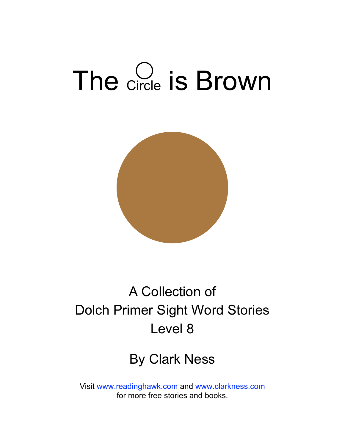# The Circle is Brown



### A Collection of Dolch Primer Sight Word Stories Level 8

#### By Clark Ness

Visit [www.readinghawk.com](http://www.readinghawk.com) and [www.clarkness.com](http://www.clarkness.com) for more free stories and books.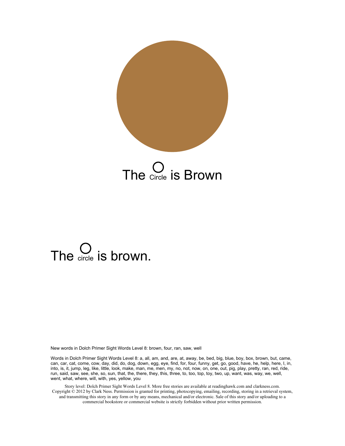

The Circle is Brown

# The  $\sum_{circle}$  is brown.

New words in Dolch Primer Sight Words Level 8: brown, four, ran, saw, well

Words in Dolch Primer Sight Words Level 8: a, all, am, and, are, at, away, be, bed, big, blue, boy, box, brown, but, came, can, car, cat, come, cow, day, did, do, dog, down, egg, eye, find, for, four, funny, get, go, good, have, he, help, here, I, in, into, is, it, jump, leg, like, little, look, make, man, me, men, my, no, not, now, on, one, out, pig, play, pretty, ran, red, ride, run, said, saw, see, she, so, sun, that, the, there, they, this, three, to, too, top, toy, two, up, want, was, way, we, well, went, what, where, will, with, yes, yellow, you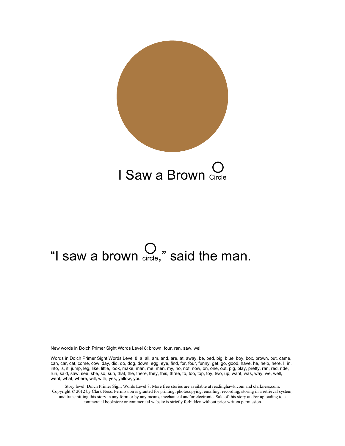

# "I saw a brown  $\bigcirc$ <sub>circle</sub>," said the man.

New words in Dolch Primer Sight Words Level 8: brown, four, ran, saw, well

Words in Dolch Primer Sight Words Level 8: a, all, am, and, are, at, away, be, bed, big, blue, boy, box, brown, but, came, can, car, cat, come, cow, day, did, do, dog, down, egg, eye, find, for, four, funny, get, go, good, have, he, help, here, I, in, into, is, it, jump, leg, like, little, look, make, man, me, men, my, no, not, now, on, one, out, pig, play, pretty, ran, red, ride, run, said, saw, see, she, so, sun, that, the, there, they, this, three, to, too, top, toy, two, up, want, was, way, we, well, went, what, where, will, with, yes, yellow, you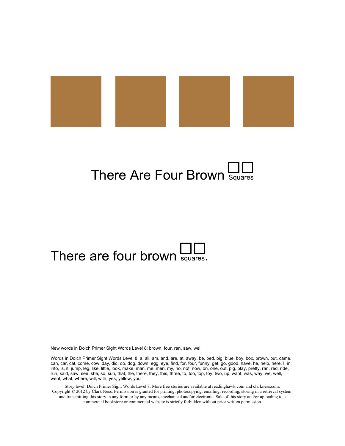

## There Are Four Brown Squares

### There are four brown  $\frac{11}{\text{square}}$ .

New words in Dolch Primer Sight Words Level 8: brown, four, ran, saw, well

Words in Dolch Primer Sight Words Level 8: a, all, am, and, are, at, away, be, bed, big, blue, boy, box, brown, but, came, can, car, cat, come, cow, day, did, do, dog, down, egg, eye, find, for, four, funny, get, go, good, have, he, help, here, I, in, into, is, it, jump, leg, like, little, look, make, man, me, men, my, no, not, now, on, one, out, pig, play, pretty, ran, red, ride, run, said, saw, see, she, so, sun, that, the, there, they, this, three, to, too, top, toy, two, up, want, was, way, we, well, went, what, where, will, with, yes, yellow, you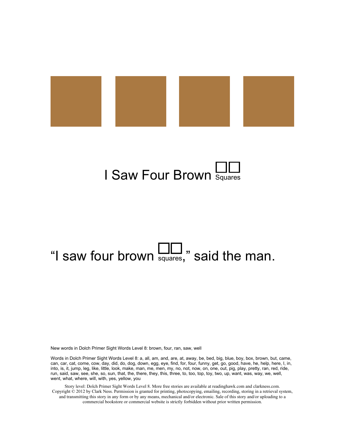



# "I saw four brown  $\Box$ " said the man.

New words in Dolch Primer Sight Words Level 8: brown, four, ran, saw, well

Words in Dolch Primer Sight Words Level 8: a, all, am, and, are, at, away, be, bed, big, blue, boy, box, brown, but, came, can, car, cat, come, cow, day, did, do, dog, down, egg, eye, find, for, four, funny, get, go, good, have, he, help, here, I, in, into, is, it, jump, leg, like, little, look, make, man, me, men, my, no, not, now, on, one, out, pig, play, pretty, ran, red, ride, run, said, saw, see, she, so, sun, that, the, there, they, this, three, to, too, top, toy, two, up, want, was, way, we, well, went, what, where, will, with, yes, yellow, you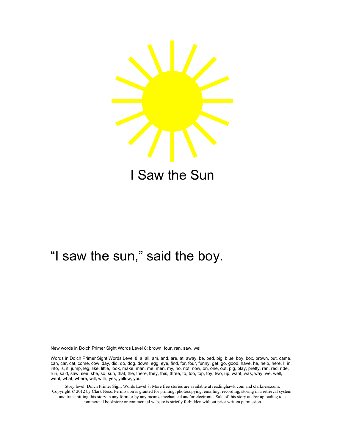

I Saw the Sun

#### "I saw the sun," said the boy.

New words in Dolch Primer Sight Words Level 8: brown, four, ran, saw, well

Words in Dolch Primer Sight Words Level 8: a, all, am, and, are, at, away, be, bed, big, blue, boy, box, brown, but, came, can, car, cat, come, cow, day, did, do, dog, down, egg, eye, find, for, four, funny, get, go, good, have, he, help, here, I, in, into, is, it, jump, leg, like, little, look, make, man, me, men, my, no, not, now, on, one, out, pig, play, pretty, ran, red, ride, run, said, saw, see, she, so, sun, that, the, there, they, this, three, to, too, top, toy, two, up, want, was, way, we, well, went, what, where, will, with, yes, yellow, you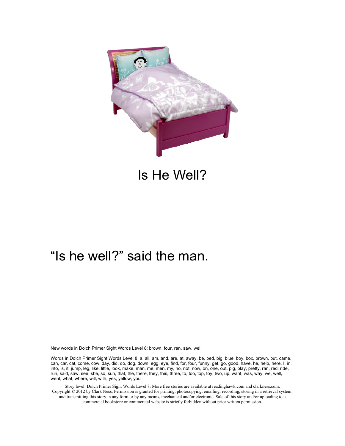

#### Is He Well?

#### "Is he well?" said the man.

New words in Dolch Primer Sight Words Level 8: brown, four, ran, saw, well

Words in Dolch Primer Sight Words Level 8: a, all, am, and, are, at, away, be, bed, big, blue, boy, box, brown, but, came, can, car, cat, come, cow, day, did, do, dog, down, egg, eye, find, for, four, funny, get, go, good, have, he, help, here, I, in, into, is, it, jump, leg, like, little, look, make, man, me, men, my, no, not, now, on, one, out, pig, play, pretty, ran, red, ride, run, said, saw, see, she, so, sun, that, the, there, they, this, three, to, too, top, toy, two, up, want, was, way, we, well, went, what, where, will, with, yes, yellow, you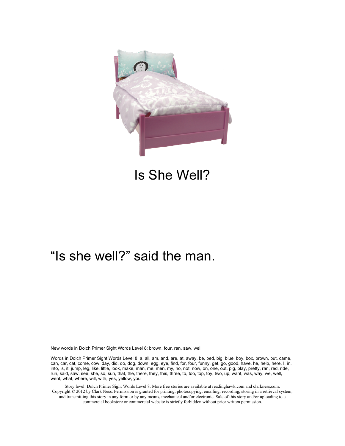

#### Is She Well?

#### "Is she well?" said the man.

New words in Dolch Primer Sight Words Level 8: brown, four, ran, saw, well

Words in Dolch Primer Sight Words Level 8: a, all, am, and, are, at, away, be, bed, big, blue, boy, box, brown, but, came, can, car, cat, come, cow, day, did, do, dog, down, egg, eye, find, for, four, funny, get, go, good, have, he, help, here, I, in, into, is, it, jump, leg, like, little, look, make, man, me, men, my, no, not, now, on, one, out, pig, play, pretty, ran, red, ride, run, said, saw, see, she, so, sun, that, the, there, they, this, three, to, too, top, toy, two, up, want, was, way, we, well, went, what, where, will, with, yes, yellow, you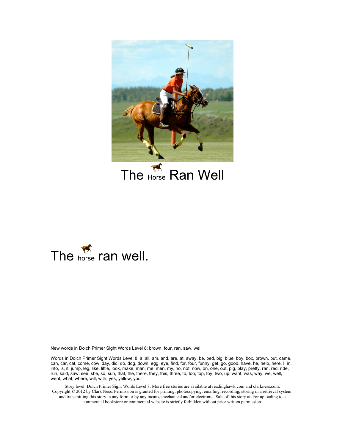

The  $H_{\text{Morse}}$  Ran Well



New words in Dolch Primer Sight Words Level 8: brown, four, ran, saw, well

Words in Dolch Primer Sight Words Level 8: a, all, am, and, are, at, away, be, bed, big, blue, boy, box, brown, but, came, can, car, cat, come, cow, day, did, do, dog, down, egg, eye, find, for, four, funny, get, go, good, have, he, help, here, I, in, into, is, it, jump, leg, like, little, look, make, man, me, men, my, no, not, now, on, one, out, pig, play, pretty, ran, red, ride, run, said, saw, see, she, so, sun, that, the, there, they, this, three, to, too, top, toy, two, up, want, was, way, we, well, went, what, where, will, with, yes, yellow, you